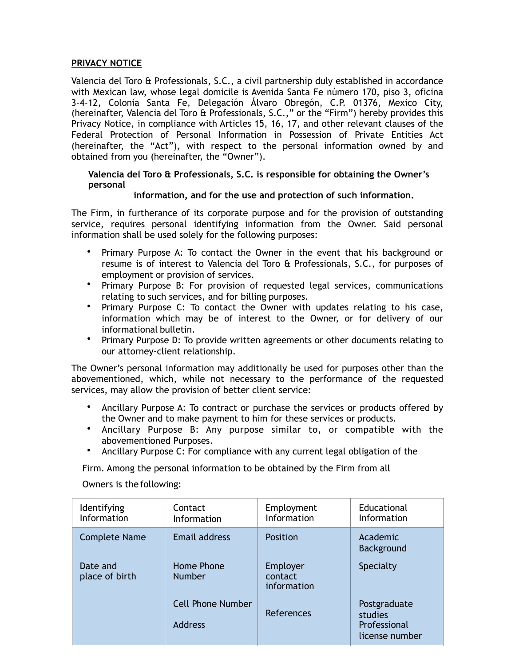## **PRIVACY NOTICE**

Valencia del Toro & Professionals, S.C., a civil partnership duly established in accordance with Mexican law, whose legal domicile is Avenida Santa Fe número 170, piso 3, oficina 3-4-12, Colonia Santa Fe, Delegación Álvaro Obregón, C.P. 01376, Mexico City, (hereinafter, Valencia del Toro & Professionals, S.C.," or the "Firm") hereby provides this Privacy Notice, in compliance with Articles 15, 16, 17, and other relevant clauses of the Federal Protection of Personal Information in Possession of Private Entities Act (hereinafter, the "Act"), with respect to the personal information owned by and obtained from you (hereinafter, the "Owner").

## **Valencia del Toro & Professionals, S.C. is responsible for obtaining the Owner's personal**

## **information, and for the use and protection of such information.**

The Firm, in furtherance of its corporate purpose and for the provision of outstanding service, requires personal identifying information from the Owner. Said personal information shall be used solely for the following purposes:

- Primary Purpose A: To contact the Owner in the event that his background or resume is of interest to Valencia del Toro & Professionals, S.C., for purposes of employment or provision of services.
- Primary Purpose B: For provision of requested legal services, communications relating to such services, and for billing purposes.
- Primary Purpose C: To contact the Owner with updates relating to his case, information which may be of interest to the Owner, or for delivery of our informational bulletin.
- Primary Purpose D: To provide written agreements or other documents relating to our attorney-client relationship.

The Owner's personal information may additionally be used for purposes other than the abovementioned, which, while not necessary to the performance of the requested services, may allow the provision of better client service:

- Ancillary Purpose A: To contract or purchase the services or products offered by the Owner and to make payment to him for these services or products.
- Ancillary Purpose B: Any purpose similar to, or compatible with the abovementioned Purposes.
- Ancillary Purpose C: For compliance with any current legal obligation of the

Firm. Among the personal information to be obtained by the Firm from all

| Identifying<br>Information | Contact<br>Information                     | Employment<br>Information          | Educational<br>Information                                |
|----------------------------|--------------------------------------------|------------------------------------|-----------------------------------------------------------|
| <b>Complete Name</b>       | Email address                              | Position                           | Academic<br>Background                                    |
| Date and<br>place of birth | Home Phone<br><b>Number</b>                | Employer<br>contact<br>information | Specialty                                                 |
|                            | <b>Cell Phone Number</b><br><b>Address</b> | References                         | Postgraduate<br>studies<br>Professional<br>license number |

Owners is the following: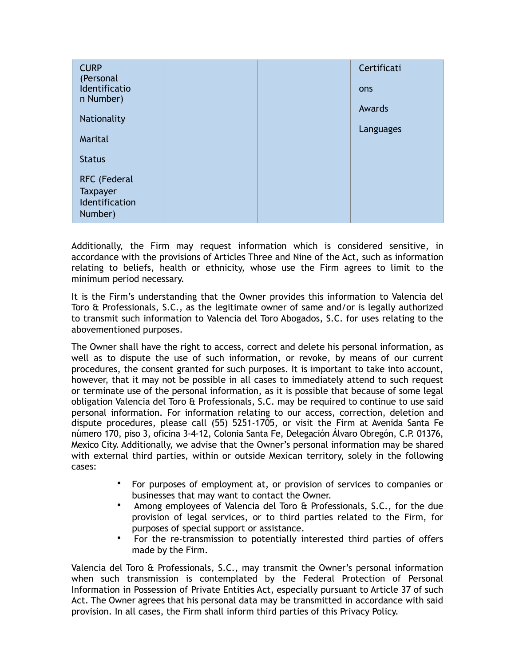| <b>CURP</b><br>(Personal        |  | Certificati |
|---------------------------------|--|-------------|
| Identificatio<br>n Number)      |  | ons         |
| Nationality                     |  | Awards      |
|                                 |  | Languages   |
| Marital                         |  |             |
| <b>Status</b>                   |  |             |
| RFC (Federal<br><b>Taxpayer</b> |  |             |
| Identification<br>Number)       |  |             |
|                                 |  |             |

Additionally, the Firm may request information which is considered sensitive, in accordance with the provisions of Articles Three and Nine of the Act, such as information relating to beliefs, health or ethnicity, whose use the Firm agrees to limit to the minimum period necessary.

It is the Firm's understanding that the Owner provides this information to Valencia del Toro & Professionals, S.C., as the legitimate owner of same and/or is legally authorized to transmit such information to Valencia del Toro Abogados, S.C. for uses relating to the abovementioned purposes.

The Owner shall have the right to access, correct and delete his personal information, as well as to dispute the use of such information, or revoke, by means of our current procedures, the consent granted for such purposes. It is important to take into account, however, that it may not be possible in all cases to immediately attend to such request or terminate use of the personal information, as it is possible that because of some legal obligation Valencia del Toro & Professionals, S.C. may be required to continue to use said personal information. For information relating to our access, correction, deletion and dispute procedures, please call (55) 5251-1705, or visit the Firm at Avenida Santa Fe número 170, piso 3, oficina 3-4-12, Colonia Santa Fe, Delegación Álvaro Obregón, C.P. 01376, Mexico City. Additionally, we advise that the Owner's personal information may be shared with external third parties, within or outside Mexican territory, solely in the following cases:

- For purposes of employment at, or provision of services to companies or businesses that may want to contact the Owner.
- Among employees of Valencia del Toro & Professionals, S.C., for the due provision of legal services, or to third parties related to the Firm, for purposes of special support or assistance.
- For the re-transmission to potentially interested third parties of offers made by the Firm.

Valencia del Toro & Professionals, S.C., may transmit the Owner's personal information when such transmission is contemplated by the Federal Protection of Personal Information in Possession of Private Entities Act, especially pursuant to Article 37 of such Act. The Owner agrees that his personal data may be transmitted in accordance with said provision. In all cases, the Firm shall inform third parties of this Privacy Policy.